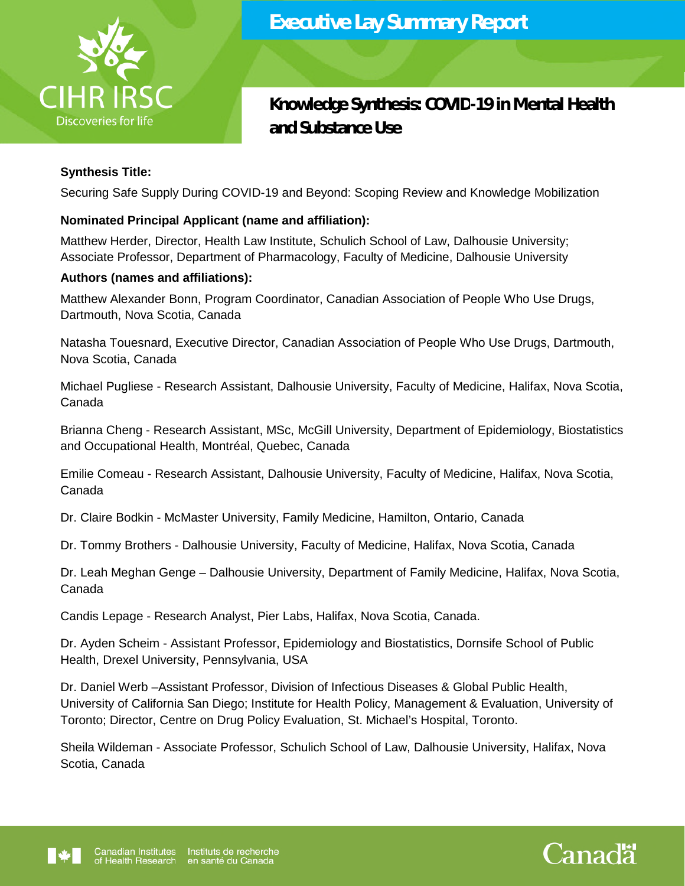

# **Knowledge Synthesis: COVID-19 in Mental Health and Substance Use**

# **Synthesis Title:**

Securing Safe Supply During COVID-19 and Beyond: Scoping Review and Knowledge Mobilization

# **Nominated Principal Applicant (name and affiliation):**

Matthew Herder, Director, Health Law Institute, Schulich School of Law, Dalhousie University; Associate Professor, Department of Pharmacology, Faculty of Medicine, Dalhousie University

# **Authors (names and affiliations):**

Matthew Alexander Bonn, Program Coordinator, Canadian Association of People Who Use Drugs, Dartmouth, Nova Scotia, Canada

Natasha Touesnard, Executive Director, Canadian Association of People Who Use Drugs, Dartmouth, Nova Scotia, Canada

Michael Pugliese - Research Assistant, Dalhousie University, Faculty of Medicine, Halifax, Nova Scotia, Canada

Brianna Cheng - Research Assistant, MSc, McGill University, Department of Epidemiology, Biostatistics and Occupational Health, Montréal, Quebec, Canada

Emilie Comeau - Research Assistant, Dalhousie University, Faculty of Medicine, Halifax, Nova Scotia, Canada

Dr. Claire Bodkin - McMaster University, Family Medicine, Hamilton, Ontario, Canada

Dr. Tommy Brothers - Dalhousie University, Faculty of Medicine, Halifax, Nova Scotia, Canada

Dr. Leah Meghan Genge – Dalhousie University, Department of Family Medicine, Halifax, Nova Scotia, Canada

Candis Lepage - Research Analyst, Pier Labs, Halifax, Nova Scotia, Canada.

Dr. Ayden Scheim - Assistant Professor, Epidemiology and Biostatistics, Dornsife School of Public Health, Drexel University, Pennsylvania, USA

Dr. Daniel Werb –Assistant Professor, Division of Infectious Diseases & Global Public Health, University of California San Diego; Institute for Health Policy, Management & Evaluation, University of Toronto; Director, Centre on Drug Policy Evaluation, St. Michael's Hospital, Toronto.

Sheila Wildeman - Associate Professor, Schulich School of Law, Dalhousie University, Halifax, Nova Scotia, Canada



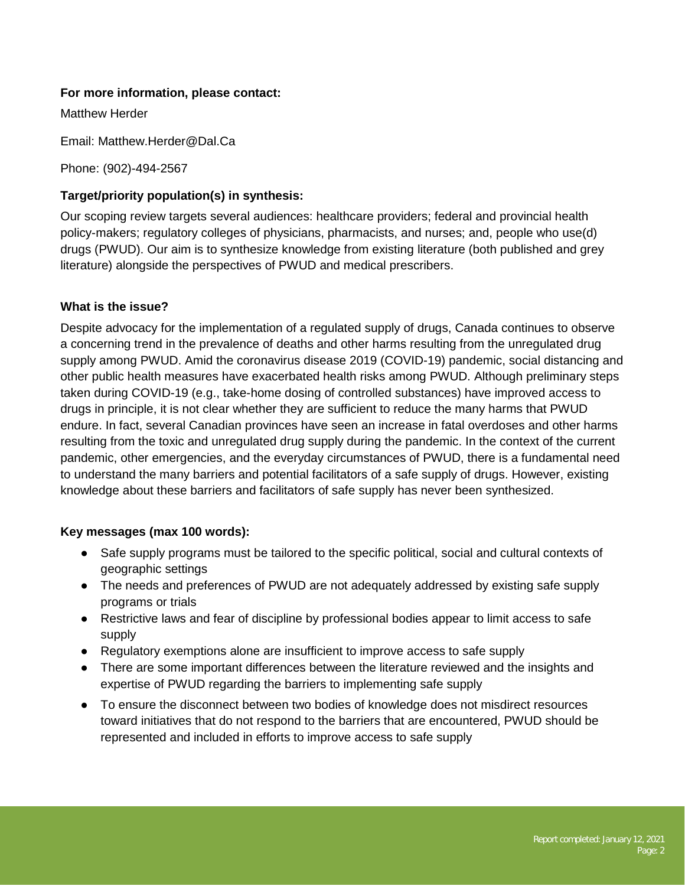## **For more information, please contact:**

Matthew Herder

Email: Matthew.Herder@Dal.Ca

Phone: (902)-494-2567

#### **Target/priority population(s) in synthesis:**

Our scoping review targets several audiences: healthcare providers; federal and provincial health policy-makers; regulatory colleges of physicians, pharmacists, and nurses; and, people who use(d) drugs (PWUD). Our aim is to synthesize knowledge from existing literature (both published and grey literature) alongside the perspectives of PWUD and medical prescribers.

## **What is the issue?**

Despite advocacy for the implementation of a regulated supply of drugs, Canada continues to observe a concerning trend in the prevalence of deaths and other harms resulting from the unregulated drug supply among PWUD. Amid the coronavirus disease 2019 (COVID-19) pandemic, social distancing and other public health measures have exacerbated health risks among PWUD. Although preliminary steps taken during COVID-19 (e.g., take-home dosing of controlled substances) have improved access to drugs in principle, it is not clear whether they are sufficient to reduce the many harms that PWUD endure. In fact, several Canadian provinces have seen an increase in fatal overdoses and other harms resulting from the toxic and unregulated drug supply during the pandemic. In the context of the current pandemic, other emergencies, and the everyday circumstances of PWUD, there is a fundamental need to understand the many barriers and potential facilitators of a safe supply of drugs. However, existing knowledge about these barriers and facilitators of safe supply has never been synthesized.

#### **Key messages (max 100 words):**

- Safe supply programs must be tailored to the specific political, social and cultural contexts of geographic settings
- The needs and preferences of PWUD are not adequately addressed by existing safe supply programs or trials
- Restrictive laws and fear of discipline by professional bodies appear to limit access to safe supply
- Regulatory exemptions alone are insufficient to improve access to safe supply
- There are some important differences between the literature reviewed and the insights and expertise of PWUD regarding the barriers to implementing safe supply
- To ensure the disconnect between two bodies of knowledge does not misdirect resources toward initiatives that do not respond to the barriers that are encountered, PWUD should be represented and included in efforts to improve access to safe supply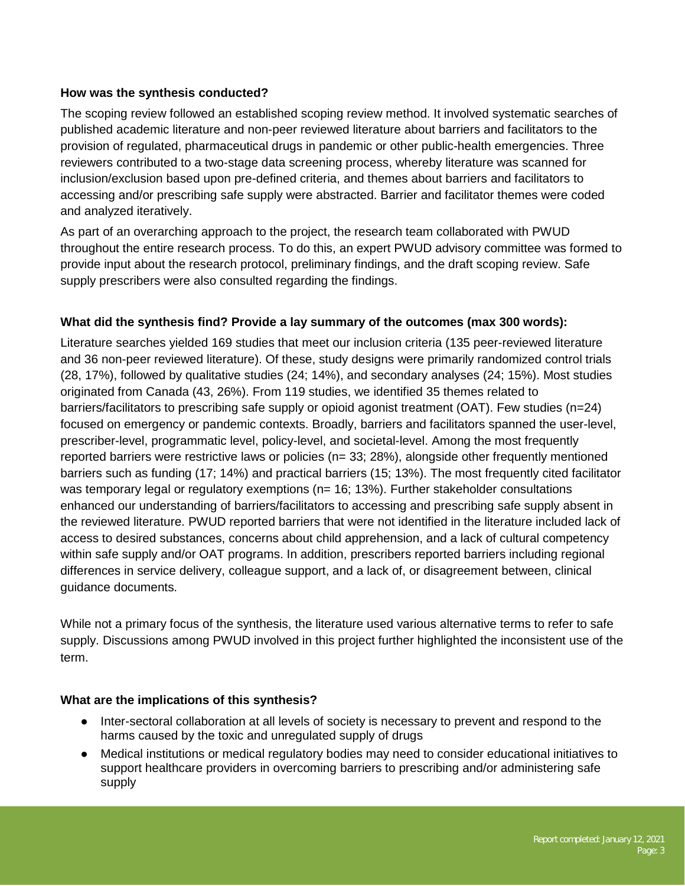## **How was the synthesis conducted?**

The scoping review followed an established scoping review method. It involved systematic searches of published academic literature and non-peer reviewed literature about barriers and facilitators to the provision of regulated, pharmaceutical drugs in pandemic or other public-health emergencies. Three reviewers contributed to a two-stage data screening process, whereby literature was scanned for inclusion/exclusion based upon pre-defined criteria, and themes about barriers and facilitators to accessing and/or prescribing safe supply were abstracted. Barrier and facilitator themes were coded and analyzed iteratively.

As part of an overarching approach to the project, the research team collaborated with PWUD throughout the entire research process. To do this, an expert PWUD advisory committee was formed to provide input about the research protocol, preliminary findings, and the draft scoping review. Safe supply prescribers were also consulted regarding the findings.

## **What did the synthesis find? Provide a lay summary of the outcomes (max 300 words):**

Literature searches yielded 169 studies that meet our inclusion criteria (135 peer-reviewed literature and 36 non-peer reviewed literature). Of these, study designs were primarily randomized control trials (28, 17%), followed by qualitative studies (24; 14%), and secondary analyses (24; 15%). Most studies originated from Canada (43, 26%). From 119 studies, we identified 35 themes related to barriers/facilitators to prescribing safe supply or opioid agonist treatment (OAT). Few studies (n=24) focused on emergency or pandemic contexts. Broadly, barriers and facilitators spanned the user-level, prescriber-level, programmatic level, policy-level, and societal-level. Among the most frequently reported barriers were restrictive laws or policies (n= 33; 28%), alongside other frequently mentioned barriers such as funding (17; 14%) and practical barriers (15; 13%). The most frequently cited facilitator was temporary legal or regulatory exemptions (n= 16; 13%). Further stakeholder consultations enhanced our understanding of barriers/facilitators to accessing and prescribing safe supply absent in the reviewed literature. PWUD reported barriers that were not identified in the literature included lack of access to desired substances, concerns about child apprehension, and a lack of cultural competency within safe supply and/or OAT programs. In addition, prescribers reported barriers including regional differences in service delivery, colleague support, and a lack of, or disagreement between, clinical guidance documents.

While not a primary focus of the synthesis, the literature used various alternative terms to refer to safe supply. Discussions among PWUD involved in this project further highlighted the inconsistent use of the term.

#### **What are the implications of this synthesis?**

- Inter-sectoral collaboration at all levels of society is necessary to prevent and respond to the harms caused by the toxic and unregulated supply of drugs
- Medical institutions or medical regulatory bodies may need to consider educational initiatives to support healthcare providers in overcoming barriers to prescribing and/or administering safe supply